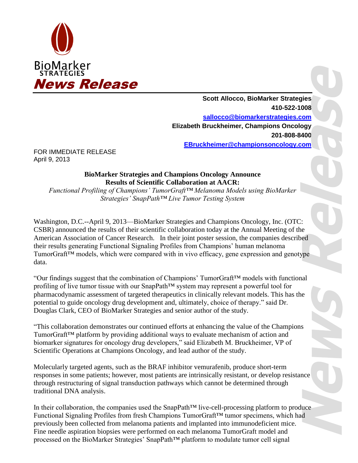

**Scott Allocco, BioMarker Strategies 410-522-1008 sallocco@biomarkerstrategies.com Elizabeth Bruckheimer, Champions Oncology 201-808-8400 EBruckheimer@championsoncology.com**

FOR IMMEDIATE RELEASE April 9, 2013

## **BioMarker Strategies and Champions Oncology Announce Results of Scientific Collaboration at AACR:**

*Functional Profiling of Champions' TumorGraft™ Melanoma Models using BioMarker Strategies' SnapPath™ Live Tumor Testing System*

Washington, D.C.--April 9, 2013—BioMarker Strategies and Champions Oncology, Inc. (OTC: CSBR) announced the results of their scientific collaboration today at the Annual Meeting of the American Association of Cancer Research. In their joint poster session, the companies described their results generating Functional Signaling Profiles from Champions' human melanoma TumorGraft™ models, which were compared with in vivo efficacy, gene expression and genotype data.

"Our findings suggest that the combination of Champions' TumorGraft™ models with functional profiling of live tumor tissue with our SnapPath™ system may represent a powerful tool for pharmacodynamic assessment of targeted therapeutics in clinically relevant models. This has the potential to guide oncology drug development and, ultimately, choice of therapy." said Dr. Douglas Clark, CEO of BioMarker Strategies and senior author of the study.

"This collaboration demonstrates our continued efforts at enhancing the value of the Champions TumorGraft™ platform by providing additional ways to evaluate mechanism of action and biomarker signatures for oncology drug developers," said Elizabeth M. Bruckheimer, VP of Scientific Operations at Champions Oncology, and lead author of the study.

Molecularly targeted agents, such as the BRAF inhibitor vemurafenib, produce short-term responses in some patients; however, most patients are intrinsically resistant, or develop resistance through restructuring of signal transduction pathways which cannot be determined through traditional DNA analysis.

In their collaboration, the companies used the SnapPath™ live-cell-processing platform to produce Functional Signaling Profiles from fresh Champions TumorGraft™ tumor specimens, which had previously been collected from melanoma patients and implanted into immunodeficient mice. Fine needle aspiration biopsies were performed on each melanoma TumorGraft model and processed on the BioMarker Strategies' SnapPath™ platform to modulate tumor cell signal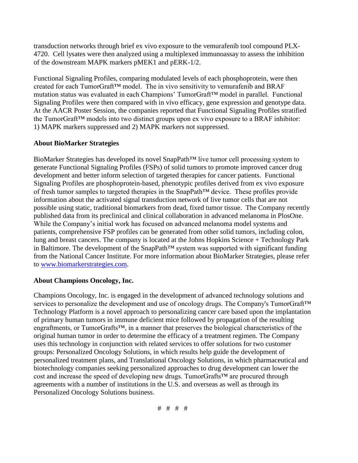transduction networks through brief ex vivo exposure to the vemurafenib tool compound PLX-4720. Cell lysates were then analyzed using a multiplexed immunoassay to assess the inhibition of the downstream MAPK markers pMEK1 and pERK-1/2.

Functional Signaling Profiles, comparing modulated levels of each phosphoprotein, were then created for each TumorGraft™ model. The in vivo sensitivity to vemurafenib and BRAF mutation status was evaluated in each Champions' TumorGraft™ model in parallel. Functional Signaling Profiles were then compared with in vivo efficacy, gene expression and genotype data. At the AACR Poster Session, the companies reported that Functional Signaling Profiles stratified the TumorGraft™ models into two distinct groups upon ex vivo exposure to a BRAF inhibitor: 1) MAPK markers suppressed and 2) MAPK markers not suppressed.

## **About BioMarker Strategies**

BioMarker Strategies has developed its novel SnapPath™ live tumor cell processing system to generate Functional Signaling Profiles (FSPs) of solid tumors to promote improved cancer drug development and better inform selection of targeted therapies for cancer patients. Functional Signaling Profiles are phosphoprotein-based, phenotypic profiles derived from ex vivo exposure of fresh tumor samples to targeted therapies in the SnapPath™ device. These profiles provide information about the activated signal transduction network of live tumor cells that are not possible using static, traditional biomarkers from dead, fixed tumor tissue. The Company recently published data from its preclinical and clinical collaboration in advanced melanoma in PlosOne. While the Company's initial work has focused on advanced melanoma model systems and patients, comprehensive FSP profiles can be generated from other solid tumors, including colon, lung and breast cancers. The company is located at the Johns Hopkins Science + Technology Park in Baltimore. The development of the SnapPath™ system was supported with significant funding from the National Cancer Institute. For more information about BioMarker Strategies, please refer to [www.biomarkerstrategies.com.](http://cts.businesswire.com/ct/CT?id=smartlink&url=http%3A%2F%2Fwww.biomarkerstrategies.com&esheet=50428049&lan=en-US&anchor=www.biomarkerstrategies.com&index=1&md5=9dc3b2eab9816d29c61c0371c0b7f136)

## **About Champions Oncology, Inc.**

Champions Oncology, Inc. is engaged in the development of advanced technology solutions and services to personalize the development and use of oncology drugs. The Company's TumorGraft<sup>™</sup> Technology Platform is a novel approach to personalizing cancer care based upon the implantation of primary human tumors in immune deficient mice followed by propagation of the resulting engraftments, or TumorGrafts™, in a manner that preserves the biological characteristics of the original human tumor in order to determine the efficacy of a treatment regimen. The Company uses this technology in conjunction with related services to offer solutions for two customer groups: Personalized Oncology Solutions, in which results help guide the development of personalized treatment plans, and Translational Oncology Solutions, in which pharmaceutical and biotechnology companies seeking personalized approaches to drug development can lower the cost and increase the speed of developing new drugs. TumorGrafts™ are procured through agreements with a number of institutions in the U.S. and overseas as well as through its Personalized Oncology Solutions business.